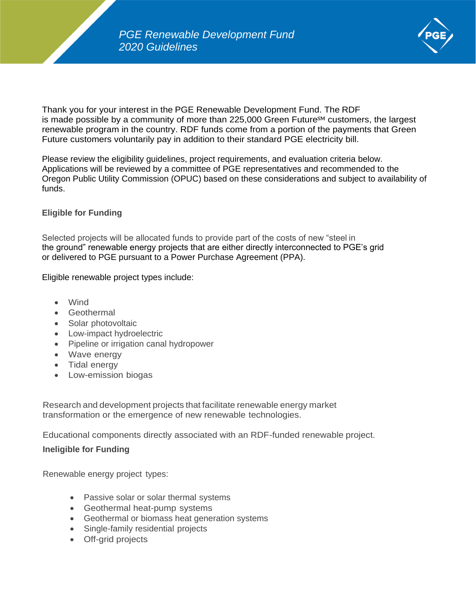

Thank you for your interest in the PGE Renewable Development Fund. The RDF is made possible by a community of more than  $225,000$  Green Future<sup>SM</sup> customers, the largest renewable program in the country. RDF funds come from a portion of the payments that Green Future customers voluntarily pay in addition to their standard PGE electricity bill.

Please review the eligibility guidelines, project requirements, and evaluation criteria below. Applications will be reviewed by a committee of PGE representatives and recommended to the Oregon Public Utility Commission (OPUC) based on these considerations and subject to availability of funds.

# **Eligible for Funding**

Selected projects will be allocated funds to provide part of the costs of new "steel in the ground" renewable energy projects that are either directly interconnected to PGE's grid or delivered to PGE pursuant to a Power Purchase Agreement (PPA).

Eligible renewable project types include:

- Wind
- Geothermal
- Solar photovoltaic
- Low-impact hydroelectric
- Pipeline or irrigation canal hydropower
- Wave energy
- Tidal energy
- Low-emission biogas

Research and development projects that facilitate renewable energy market transformation or the emergence of new renewable technologies.

Educational components directly associated with an RDF-funded renewable project.

# **Ineligible for Funding**

Renewable energy project types:

- Passive solar or solar thermal systems
- Geothermal heat-pump systems
- Geothermal or biomass heat generation systems
- Single-family residential projects
- Off-grid projects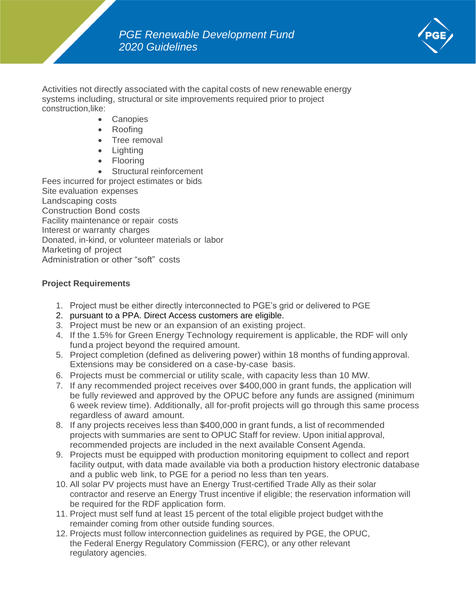

Activities not directly associated with the capital costs of new renewable energy systems including, structural or site improvements required prior to project construction,like:

- Canopies
- Roofing
- Tree removal
- Lighting
- Flooring
- Structural reinforcement

Fees incurred for project estimates or bids Site evaluation expenses Landscaping costs Construction Bond costs Facility maintenance or repair costs Interest or warranty charges Donated, in-kind, or volunteer materials or labor Marketing of project Administration or other "soft" costs

# **Project Requirements**

- 1. Project must be either directly interconnected to PGE's grid or delivered to PGE
- 2. pursuant to a PPA. Direct Access customers are eligible.
- 3. Project must be new or an expansion of an existing project.
- 4. If the 1.5% for Green Energy Technology requirement is applicable, the RDF will only funda project beyond the required amount.
- 5. Project completion (defined as delivering power) within 18 months of fundingapproval. Extensions may be considered on a case-by-case basis.
- 6. Projects must be commercial or utility scale, with capacity less than 10 MW.
- 7. If any recommended project receives over \$400,000 in grant funds, the application will be fully reviewed and approved by the OPUC before any funds are assigned (minimum 6 week review time). Additionally, all for-profit projects will go through this same process regardless of award amount.
- 8. If any projects receives less than \$400,000 in grant funds, a list of recommended projects with summaries are sent to OPUC Staff for review. Upon initial approval, recommended projects are included in the next available Consent Agenda.
- 9. Projects must be equipped with production monitoring equipment to collect and report facility output, with data made available via both a production history electronic database and a public web link, to PGE for a period no less than ten years.
- 10. All solar PV projects must have an Energy Trust-certified Trade Ally as their solar contractor and reserve an Energy Trust incentive if eligible; the reservation information will be required for the RDF application form.
- 11. Project must self fund at least 15 percent of the total eligible project budget withthe remainder coming from other outside funding sources.
- 12. Projects must follow interconnection guidelines as required by PGE, the OPUC, the Federal Energy Regulatory Commission (FERC), or any other relevant regulatory agencies.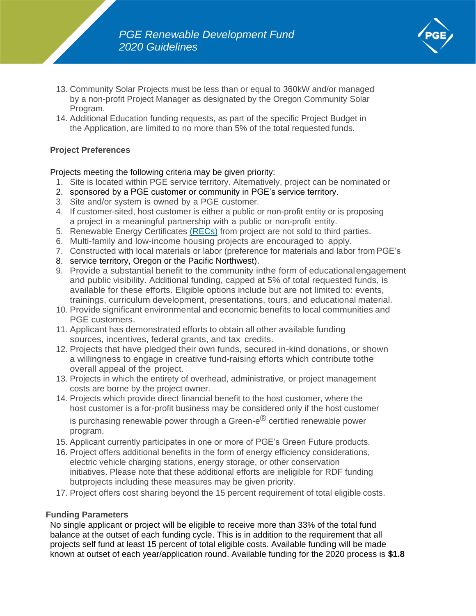

- 13. Community Solar Projects must be less than or equal to 360kW and/or managed by a non-profit Project Manager as designated by the Oregon Community Solar Program.
- 14. Additional Education funding requests, as part of the specific Project Budget in the Application, are limited to no more than 5% of the total requested funds.

# **Project Preferences**

#### Projects meeting the following criteria may be given priority:

- 1. Site is located within PGE service territory. Alternatively, project can be nominated or
- 2. sponsored by a PGE customer or community in PGE's service territory.
- 3. Site and/or system is owned by a PGE customer.
- 4. If customer-sited, host customer is either a public or non-profit entity or is proposing a project in a meaningful partnership with a public or non-profit entity.
- 5. Renewable Energy Certificates [\(RECs\)](https://www.youtube.com/watch?v=opJMrzNauFQ) from project are not sold to third parties.
- 6. Multi-family and low-income housing projects are encouraged to apply.
- 7. Constructed with local materials or labor (preference for materials and labor from PGE's
- 8. service territory, Oregon or the Pacific Northwest).
- 9. Provide a substantial benefit to the community inthe form of educationalengagement and public visibility. Additional funding, capped at 5% of total requested funds, is available for these efforts. Eligible options include but are not limited to: events, trainings, curriculum development, presentations, tours, and educational material.
- 10. Provide significant environmental and economic benefits to local communities and PGE customers.
- 11. Applicant has demonstrated efforts to obtain all other available funding sources, incentives, federal grants, and tax credits.
- 12. Projects that have pledged their own funds, secured in-kind donations, or shown a willingness to engage in creative fund-raising efforts which contribute tothe overall appeal of the project.
- 13. Projects in which the entirety of overhead, administrative, or project management costs are borne by the project owner.
- 14. Projects which provide direct financial benefit to the host customer, where the host customer is a for-profit business may be considered only if the host customer is purchasing renewable power through a Green- $e^{\textcircled{e}}$  certified renewable power program.
- 15. Applicant currently participates in one or more of PGE's Green Future products.
- 16. Project offers additional benefits in the form of energy efficiency considerations, electric vehicle charging stations, energy storage, or other conservation initiatives. Please note that these additional efforts are ineligible for RDF funding butprojects including these measures may be given priority.
- 17. Project offers cost sharing beyond the 15 percent requirement of total eligible costs.

# **Funding Parameters**

No single applicant or project will be eligible to receive more than 33% of the total fund balance at the outset of each funding cycle. This is in addition to the requirement that all projects self fund at least 15 percent of total eligible costs. Available funding will be made known at outset of each year/application round. Available funding for the 2020 process is **\$1.8**